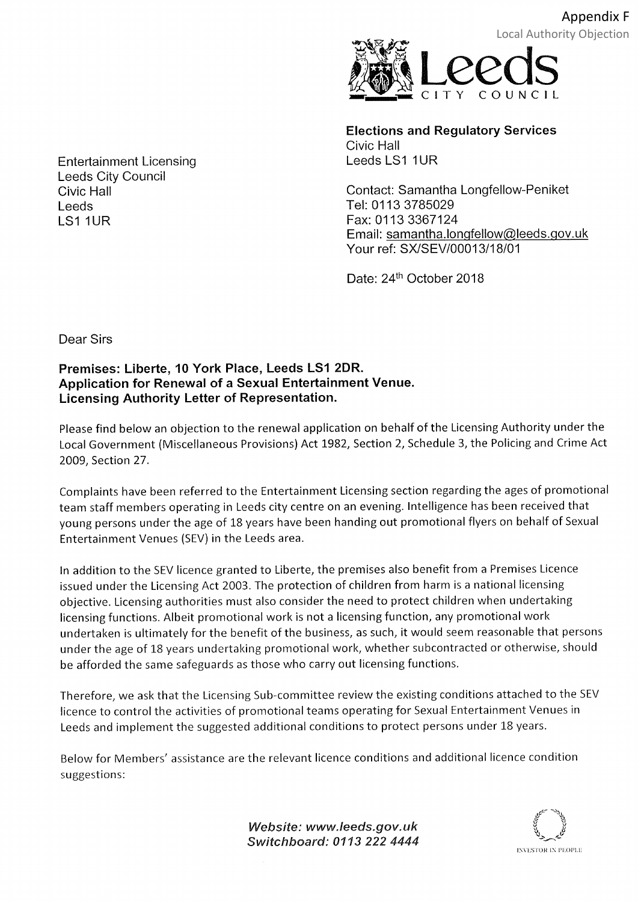

Elections and Regulatory Services Civic Hall Leeds LS1 1UR

Contact: Samantha Longfellow-Peniket Tel: 0113 3785029 Fax: 01 13 3367124 Email: samantha.longfellow@leeds.gov.uk Your ref: SX/SEV/00013/18/01

Date: 24<sup>th</sup> October 2018

Entertainment Licensing Leeds City Council Civic Hall Leeds LS1 1UR

Dear Sirs

## Premises: Liberte, 10 York Place, Leeds LS1 2DR. Application for Renewal of a Sexual Entertainment Venue Licensing Authority Letter of Representation.

Please find below an objection to the renewal application on behalf of the Licensing Authority under the Local Government (Miscellaneous Provisions) Act 1982, Section 2, Schedule 3, the Policing and Crime Act 2OO9, Section 27.

Complaints have been referred to the Entertainment Licensing section regarding the ages of promotional team staff members operating in Leeds city centre on an evening. lntelligence has been received that young persons under the age of 18 years have been handing out promotional flyers on behalf of Sexual Entertainment Venues (SEV) in the Leeds area.

ln addition to the SEV licence granted to Liberte, the premises also benefit from a Premises Licence issued under the Licensing Act 2003. The protection of children from harm is a national licensing objective. Licensing authorities must also consider the need to protect children when undertaking licensing functions. Albeit promotional work is not a licensing function, any promotional work undertaken is ultimately for the benefit of the business, as such, it would seem reasonable that persons under the age of 18 years undertaking promotional work, whether subcontracted or otherwise, should be afforded the same safeguards as those who carry out licensing functions.

Therefore, we ask that the Licensing Sub-committee review the existing conditions attached to the SEV licence to control the activities of promotional teams operating for Sexual Entertainment Venues in Leeds and implement the suggested additional conditions to protect persons under 18 years.

Below for Members'assistance are the relevant licence conditions and additional licence condition suggestions:

> Website: www.leeds.gov.uk Switchboard: 0113 222 4444